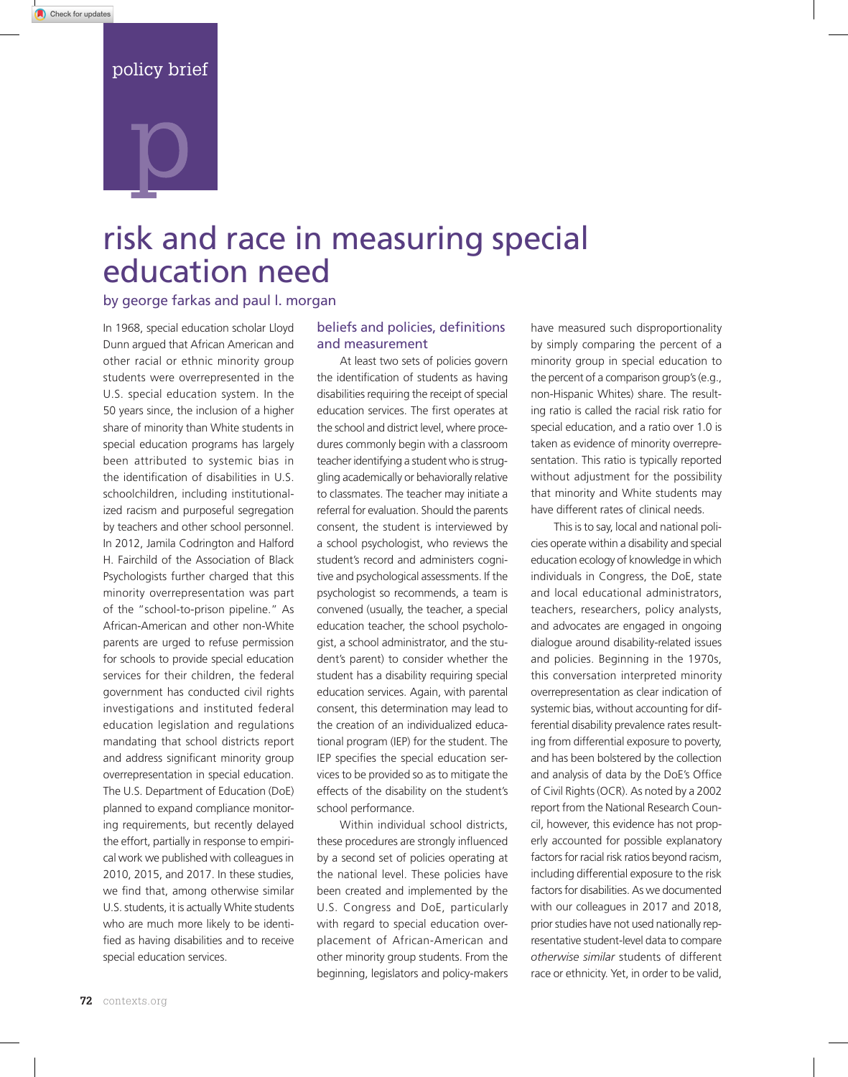# policy brief

# risk and race in measuring special education need

## by george farkas and paul l. morgan

In 1968, special education scholar Lloyd Dunn argued that African American and other racial or ethnic minority group students were overrepresented in the U.S. special education system. In the 50 years since, the inclusion of a higher share of minority than White students in special education programs has largely been attributed to systemic bias in the identification of disabilities in U.S. schoolchildren, including institutionalized racism and purposeful segregation by teachers and other school personnel. In 2012, Jamila Codrington and Halford H. Fairchild of the Association of Black Psychologists further charged that this minority overrepresentation was part of the "school-to-prison pipeline." As African-American and other non-White parents are urged to refuse permission for schools to provide special education services for their children, the federal government has conducted civil rights investigations and instituted federal education legislation and regulations mandating that school districts report and address significant minority group overrepresentation in special education. The U.S. Department of Education (DoE) planned to expand compliance monitoring requirements, but recently delayed the effort, partially in response to empirical work we published with colleagues in 2010, 2015, and 2017. In these studies, we find that, among otherwise similar U.S. students, it is actually White students who are much more likely to be identified as having disabilities and to receive special education services.

### beliefs and policies, definitions and measurement

At least two sets of policies govern the identification of students as having disabilities requiring the receipt of special education services. The first operates at the school and district level, where procedures commonly begin with a classroom teacher identifying a student who is struggling academically or behaviorally relative to classmates. The teacher may initiate a referral for evaluation. Should the parents consent, the student is interviewed by a school psychologist, who reviews the student's record and administers cognitive and psychological assessments. If the psychologist so recommends, a team is convened (usually, the teacher, a special education teacher, the school psychologist, a school administrator, and the student's parent) to consider whether the student has a disability requiring special education services. Again, with parental consent, this determination may lead to the creation of an individualized educational program (IEP) for the student. The IEP specifies the special education services to be provided so as to mitigate the effects of the disability on the student's school performance.

Within individual school districts, these procedures are strongly influenced by a second set of policies operating at the national level. These policies have been created and implemented by the U.S. Congress and DoE, particularly with regard to special education overplacement of African-American and other minority group students. From the beginning, legislators and policy-makers

have measured such disproportionality by simply comparing the percent of a minority group in special education to the percent of a comparison group's (e.g., non-Hispanic Whites) share. The resulting ratio is called the racial risk ratio for special education, and a ratio over 1.0 is taken as evidence of minority overrepresentation. This ratio is typically reported without adjustment for the possibility that minority and White students may have different rates of clinical needs.

This is to say, local and national policies operate within a disability and special education ecology of knowledge in which individuals in Congress, the DoE, state and local educational administrators, teachers, researchers, policy analysts, and advocates are engaged in ongoing dialogue around disability-related issues and policies. Beginning in the 1970s, this conversation interpreted minority overrepresentation as clear indication of systemic bias, without accounting for differential disability prevalence rates resulting from differential exposure to poverty, and has been bolstered by the collection and analysis of data by the DoE's Office of Civil Rights (OCR). As noted by a 2002 report from the National Research Council, however, this evidence has not properly accounted for possible explanatory factors for racial risk ratios beyond racism, including differential exposure to the risk factors for disabilities. As we documented with our colleagues in 2017 and 2018, prior studies have not used nationally representative student-level data to compare *otherwise similar* students of different race or ethnicity. Yet, in order to be valid,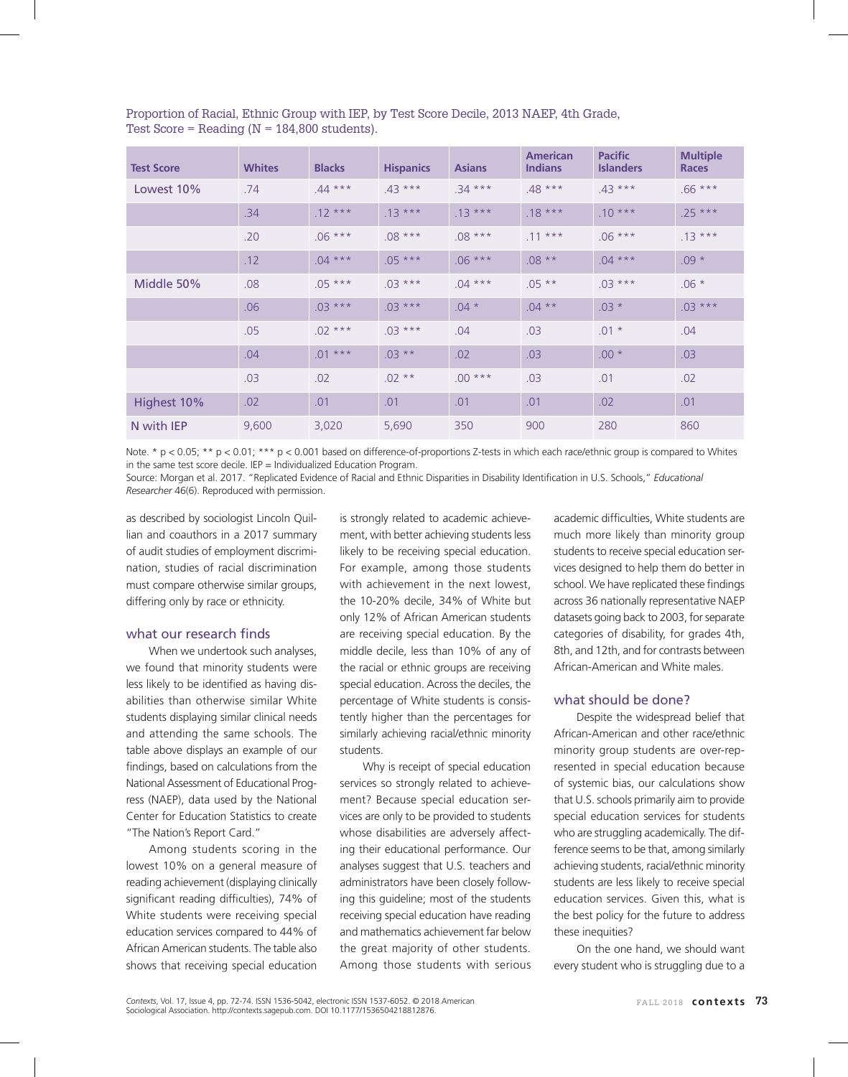| <b>Test Score</b> | <b>Whites</b> | <b>Blacks</b> | <b>Hispanics</b> | <b>Asians</b> | <b>American</b><br><b>Indians</b> | <b>Pacific</b><br><b>Islanders</b> | <b>Multiple</b><br><b>Races</b> |
|-------------------|---------------|---------------|------------------|---------------|-----------------------------------|------------------------------------|---------------------------------|
| Lowest 10%        | .74           | $.44***$      | $.43***$         | $.34***$      | $.48***$                          | $.43***$                           | $.66***$                        |
|                   | .34           | $.12***$      | $.13***$         | $.13***$      | $.18***$                          | $.10***$                           | $.25***$                        |
|                   | .20           | $.06***$      | $.08***$         | $.08***$      | $.11***$                          | $.06***$                           | $.13***$                        |
|                   | .12           | $.04***$      | $.05***$         | $.06***$      | $.08***$                          | $.04***$                           | $.09 *$                         |
| Middle 50%        | .08           | $.05***$      | $.03***$         | $.04***$      | $.05***$                          | $.03***$                           | $.06 *$                         |
|                   | .06           | $.03***$      | $.03***$         | $.04 *$       | $.04***$                          | $.03 *$                            | $.03***$                        |
|                   | .05           | $.02***$      | $.03***$         | .04           | .03                               | $.01 *$                            | .04                             |
|                   | .04           | $.01***$      | $.03***$         | .02           | .03                               | $.00 *$                            | .03                             |
|                   | .03           | .02           | $.02***$         | $.00***$      | .03                               | .01                                | .02                             |
| Highest 10%       | .02           | .01           | .01              | .01           | .01                               | .02                                | .01                             |
| N with IEP        | 9,600         | 3,020         | 5,690            | 350           | 900                               | 280                                | 860                             |

Proportion of Racial, Ethnic Group with IEP, by Test Score Decile, 2013 NAEP, 4th Grade, Test Score = Reading ( $N = 184,800$  students).

Note. \* p < 0.05; \*\* p < 0.01; \*\*\* p < 0.001 based on difference-of-proportions Z-tests in which each race/ethnic group is compared to Whites in the same test score decile. IEP = Individualized Education Program.

Source: Morgan et al. 2017. "Replicated Evidence of Racial and Ethnic Disparities in Disability Identification in U.S. Schools," *Educational Researcher* 46(6). Reproduced with permission.

as described by sociologist Lincoln Quillian and coauthors in a 2017 summary of audit studies of employment discrimination, studies of racial discrimination must compare otherwise similar groups, differing only by race or ethnicity.

#### what our research finds

When we undertook such analyses, we found that minority students were less likely to be identified as having disabilities than otherwise similar White students displaying similar clinical needs and attending the same schools. The table above displays an example of our findings, based on calculations from the National Assessment of Educational Progress (NAEP), data used by the National Center for Education Statistics to create "The Nation's Report Card."

Among students scoring in the lowest 10% on a general measure of reading achievement (displaying clinically significant reading difficulties), 74% of White students were receiving special education services compared to 44% of African American students. The table also shows that receiving special education

is strongly related to academic achievement, with better achieving students less likely to be receiving special education. For example, among those students with achievement in the next lowest, the 10-20% decile, 34% of White but only 12% of African American students are receiving special education. By the middle decile, less than 10% of any of the racial or ethnic groups are receiving special education. Across the deciles, the percentage of White students is consistently higher than the percentages for similarly achieving racial/ethnic minority students.

Why is receipt of special education services so strongly related to achievement? Because special education services are only to be provided to students whose disabilities are adversely affecting their educational performance. Our analyses suggest that U.S. teachers and administrators have been closely following this guideline; most of the students receiving special education have reading and mathematics achievement far below the great majority of other students. Among those students with serious

academic difficulties, White students are much more likely than minority group students to receive special education services designed to help them do better in school. We have replicated these findings across 36 nationally representative NAEP datasets going back to 2003, for separate categories of disability, for grades 4th, 8th, and 12th, and for contrasts between African-American and White males.

#### what should be done?

Despite the widespread belief that African-American and other race/ethnic minority group students are over-represented in special education because of systemic bias, our calculations show that U.S. schools primarily aim to provide special education services for students who are struggling academically. The difference seems to be that, among similarly achieving students, racial/ethnic minority students are less likely to receive special education services. Given this, what is the best policy for the future to address these inequities?

On the one hand, we should want every student who is struggling due to a